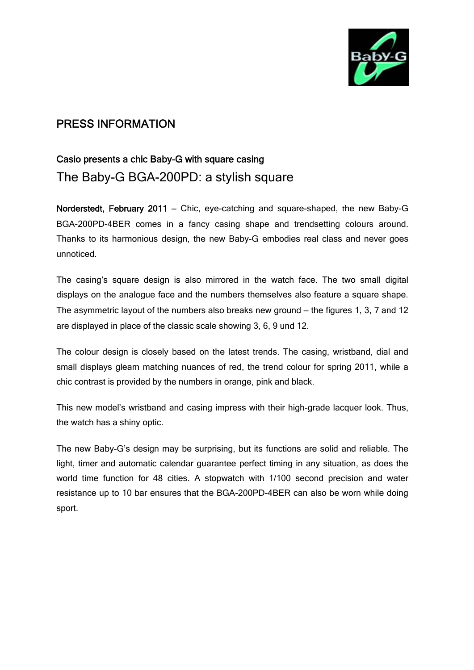

# PRESS INFORMATION

## Casio presents a chic Baby-G with square casing

The Baby-G BGA-200PD: a stylish square

Norderstedt, February 2011 **–** Chic, eye-catching and square-shaped, the new Baby-G BGA-200PD-4BER comes in a fancy casing shape and trendsetting colours around. Thanks to its harmonious design, the new Baby-G embodies real class and never goes unnoticed.

The casing's square design is also mirrored in the watch face. The two small digital displays on the analogue face and the numbers themselves also feature a square shape. The asymmetric layout of the numbers also breaks new ground **–** the figures 1, 3, 7 and 12 are displayed in place of the classic scale showing 3, 6, 9 und 12.

The colour design is closely based on the latest trends. The casing, wristband, dial and small displays gleam matching nuances of red, the trend colour for spring 2011, while a chic contrast is provided by the numbers in orange, pink and black.

This new model's wristband and casing impress with their high-grade lacquer look. Thus, the watch has a shiny optic.

The new Baby-G's design may be surprising, but its functions are solid and reliable. The light, timer and automatic calendar guarantee perfect timing in any situation, as does the world time function for 48 cities. A stopwatch with 1/100 second precision and water resistance up to 10 bar ensures that the BGA-200PD-4BER can also be worn while doing sport.